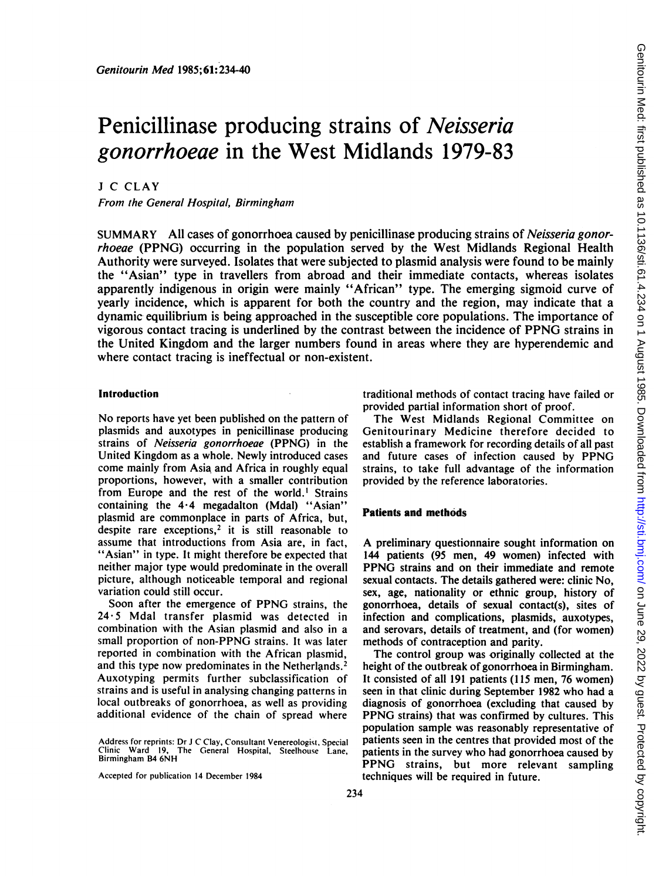# Penicillinase producing strains of Neisseria gonorrhoeae in the West Midlands 1979-83

<sup>J</sup> C CLAY

From the General Hospital, Birmingham

SUMMARY All cases of gonorrhoea caused by penicillinase producing strains of *Neisseria gonor*rhoeae (PPNG) occurring in the population served by the West Midlands Regional Health Authority were surveyed. Isolates that were subjected to plasmid analysis were found to be mainly the "Asian" type in travellers from abroad and their immediate contacts, whereas isolates apparently indigenous in origin were mainly "African" type. The emerging sigmoid curve of yearly incidence, which is apparent for both the country and the region, may indicate that a dynamic equilibrium is being approached in the susceptible core populations. The importance of vigorous contact tracing is underlined by the contrast between the incidence of PPNG strains in the United Kingdom and the larger numbers found in areas where they are hyperendemic and where contact tracing is ineffectual or non-existent.

## Introduction

No reports have yet been published on the pattern of plasmids and auxotypes in penicillinase producing strains of Neisseria gonorrhoeae (PPNG) in the United Kingdom as a whole. Newly introduced cases come mainly from Asia and Africa in roughly equal proportions, however, with a smaller contribution from Europe and the rest of the world.' Strains containing the  $4.4$  megadalton (Mdal) "Asian" plasmid are commonplace in parts of Africa, but, despite rare exceptions,<sup>2</sup> it is still reasonable to assume that introductions from Asia are, in fact, "Asian" in type. It might therefore be expected that neither major type would predominate in the overall picture, although noticeable temporal and regional variation could still occur.

Soon after the emergence of PPNG strains, the 24'5 Mdal transfer plasmid was detected in combination with the Asian plasmid and also in a small proportion of non-PPNG strains. It was later reported in combination with the African plasmid, and this type now predominates in the Netherlands.<sup>2</sup> Auxotyping permits further subclassification of strains and is useful in analysing changing patterns in local outbreaks of gonorrhoea, as well as providing additional evidence of the chain of spread where

Accepted for publication 14 December 1984

traditional methods of contact tracing have failed or provided partial information short of proof.

The West Midlands Regional Committee on Genitourinary Medicine therefore decided to establish a framework for recording details of all past and future cases of infection caused by PPNG strains, to take full advantage of the information provided by the reference laboratories.

#### Patients and methods

A preliminary questionnaire sought information on 144 patients (95 men, 49 women) infected with PPNG strains and on their immediate and remote sexual contacts. The details gathered were: clinic No, sex, age, nationality or ethnic group, history of gonorrhoea, details of sexual contact(s), sites of infection and complications, plasmids, auxotypes, and serovars, details of treatment, and (for women) methods of contraception and parity.

The control group was originally collected at the height of the outbreak of gonorrhoea in Birmingham. It consisted of all 191 patients (115 men, 76 women) seen in that clinic during September 1982 who had a diagnosis of gonorrhoea (excluding that caused by PPNG strains) that was confirmed by cultures. This population sample was reasonably representative of patients seen in the centres that provided most of the patients in the survey who had gonorrhoea caused by PPNG strains, but more relevant sampling techniques will be required in future.

Address for reprints: Dr <sup>J</sup> C Clay, Consultant Venereologist, Special Clinic Ward 19, The Ceneral Hospital, Steelhouse Lane, Birmingham B4 6NH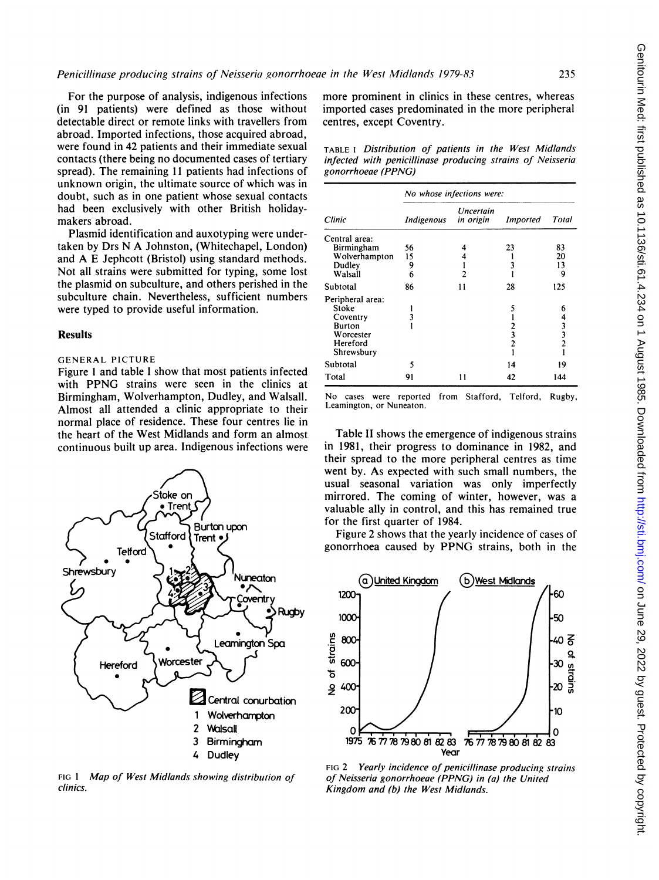For the purpose of analysis, indigenous infections (in 91 patients) were defined as those without detectable direct or remote links with travellers from abroad. Imported infections, those acquired abroad, were found in 42 patients and their immediate sexual contacts (there being no documented cases of tertiary spread). The remaining <sup>11</sup> patients had infections of unknown origin, the ultimate source of which was in doubt, such as in one patient whose sexual contacts had been exclusively with other British holidaymakers abroad.

Plasmid identification and auxotyping were undertaken by Drs N A Johnston, (Whitechapel, London) and A E Jephcott (Bristol) using standard methods. Not all strains were submitted for typing, some lost the plasmid on subculture, and others perished in the subculture chain. Nevertheless, sufficient numbers were typed to provide useful information.

### Results

# GENERAL PICTURE

Figure <sup>I</sup> and table <sup>I</sup> show that most patients infected with PPNG strains were seen in the clinics at Birmingham, Wolverhampton, Dudley, and Walsall. Almost all attended a clinic appropriate to their normal place of residence. These four centres lie in the heart of the West Midlands and form an almost continuous built up area. Indigenous infections were



FIG 1 Map of West Midlands showing distribution of clinics.

more prominent in clinics in these centres, whereas imported cases predominated in the more peripheral centres, except Coventry.

TABLE <sup>I</sup> Distribution of patients in the West Midlands infected with penicillinase producing strains of Neisseria gonorrhoeae (PPNG)

|                  | No whose infections were: |                               |                 |                                                 |  |  |  |  |  |
|------------------|---------------------------|-------------------------------|-----------------|-------------------------------------------------|--|--|--|--|--|
| Clinic           | Indigenous                | <b>Uncertain</b><br>in origin | <b>Imported</b> | Total                                           |  |  |  |  |  |
| Central area:    |                           |                               |                 |                                                 |  |  |  |  |  |
| Birmingham       | 56                        |                               | 23              | 83                                              |  |  |  |  |  |
| Wolverhampton    | 15                        |                               |                 | 20                                              |  |  |  |  |  |
| Dudley           | 9                         |                               | 3               | 13                                              |  |  |  |  |  |
| Walsall          | 6                         | 2                             |                 | 9                                               |  |  |  |  |  |
| Subtotal         | 86                        | 11                            | 28              | 125                                             |  |  |  |  |  |
| Peripheral area: |                           |                               |                 |                                                 |  |  |  |  |  |
| Stoke            |                           |                               | 5               | 6                                               |  |  |  |  |  |
| Coventry         |                           |                               |                 |                                                 |  |  |  |  |  |
| Burton           |                           |                               |                 |                                                 |  |  |  |  |  |
| Worcester        |                           |                               | 3               |                                                 |  |  |  |  |  |
| Hereford         |                           |                               | $\overline{2}$  | $\begin{array}{c} 4 \\ 3 \\ 3 \\ 2 \end{array}$ |  |  |  |  |  |
| Shrewsbury       |                           |                               |                 |                                                 |  |  |  |  |  |
| Subtotal         | 5                         |                               | 14              | 19                                              |  |  |  |  |  |
| Total            | 91                        | 11                            | 42              | 144                                             |  |  |  |  |  |

No cases were reported Leamington, or Nuneaton. from Stafford, Telford, Rugby,

Table II shows the emergence of indigenous strains in 1981, their progress to dominance in 1982, and their spread to the more peripheral centres as time went by. As expected with such small numbers, the usual seasonal variation was only imperfectly mirrored. The coming of winter, however, was a valuable ally in control, and this has remained true for the first quarter of 1984.

Figure 2 shows that the yearly incidence of cases of gonorrhoea caused by PPNG strains, both in the



FIG 2 Yearly incidence of penicillinase producing strains of Neisseria gonorrhoeae (PPNG) in (a) the United Kingdom and (b) the West Midlands.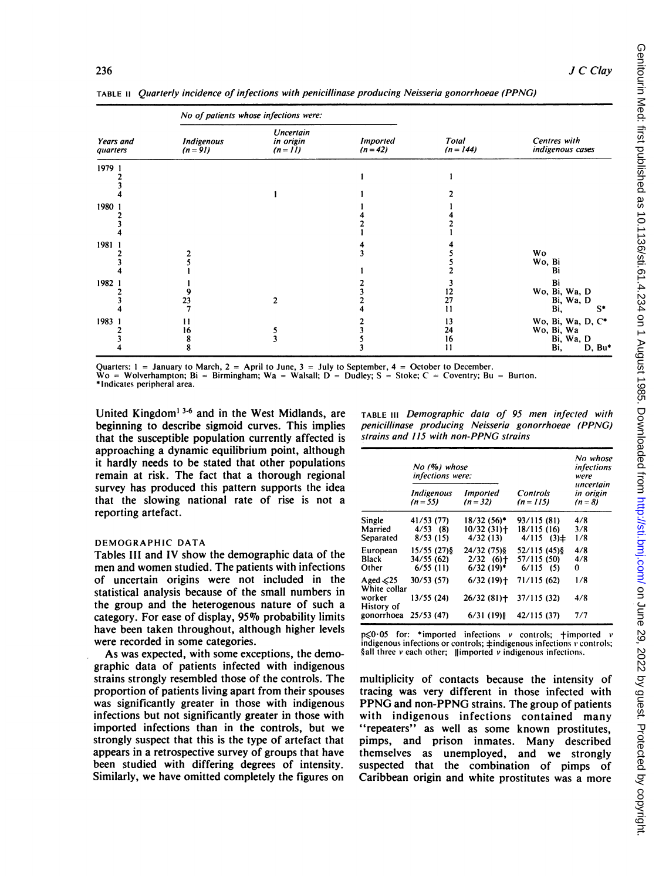TABLE <sup>11</sup> Quarterly incidence of infections with penicillinase producing Neisseria gonorrhoeae (PPNG)

|                              |                                 | No of patients whose infections were: |                               |                      |                                                               |  |  |
|------------------------------|---------------------------------|---------------------------------------|-------------------------------|----------------------|---------------------------------------------------------------|--|--|
| <b>Years</b> and<br>quarters | <b>Indigenous</b><br>$(n = 91)$ | Uncertain<br>in origin<br>$(n = 11)$  | <b>Imported</b><br>$(n = 42)$ | Total<br>$(n = 144)$ | Centres with<br>indigenous cases                              |  |  |
| 1979 1                       |                                 |                                       |                               |                      |                                                               |  |  |
|                              |                                 |                                       |                               |                      |                                                               |  |  |
| 1980 1                       |                                 |                                       |                               |                      |                                                               |  |  |
| 1981 1                       |                                 |                                       |                               |                      | <b>Wo</b><br>Wo, Bi<br>Bi                                     |  |  |
| 1982 1                       | 23                              | 2                                     |                               | 12<br>27<br>11       | Bi<br>Wo, Bi, Wa, D<br>Bi, Wa, D<br>Bi,<br>S*                 |  |  |
| 1983 1                       | 16                              |                                       |                               | 13<br>24<br>16<br>11 | Wo, Bi, Wa, D, C*<br>Wo, Bi, Wa<br>Bi, Wa, D<br>Bi,<br>D, Bu* |  |  |

Quarters:  $1 =$  January to March,  $2 =$  April to June,  $3 =$  July to September,  $4 =$  October to December.

 $\mathbf{\hat{W}}$ o = Wolverhampton; Bi = Birmingham; Wa = Walsall; D = Dudley; S = Stoke; C = Coventry; Bu = Burton. \*Indicates peripheral area.

United Kingdom' 3-6 and in the West Midlands, are beginning to describe sigmoid curves. This implies that the susceptible population currently affected is approaching a dynamic equilibrium point, although it hardly needs to be stated that other populations remain at risk. The fact that a thorough regional survey has produced this pattern supports the idea that the slowing national rate of rise is not a reporting artefact.

#### DEMOGRAPHIC DATA

Tables III and IV show the demographic data of the men and women studied. The patients with infections of uncertain origins were not included in the statistical analysis because of the small numbers in the group and the heterogenous nature of such a category. For ease of display, 95% probability limits have been taken throughout, although higher levels were recorded in some categories.

As was expected, with some exceptions, the demographic data of patients infected with indigenous strains strongly resembled those of the controls. The proportion of patients living apart from their spouses was significantly greater in those with indigenous infections but not significantly greater in those with imported infections than in the controls, but we strongly suspect that this is the type of artefact that appears in a retrospective survey of groups that have been studied with differing degrees of intensity. Similarly, we have omitted completely the figures on

TABLE III Demographic data of 95 men infected with penicillinase producing Neisseria gonorrhoeae (PPNG) strains and 115 with non-PPNG strains

|                                                        | No (%) whose<br>infections were:      |                                              |                                                | No whose<br>infections<br>were<br>uncertain<br>in origin<br>$(n = 8)$ |
|--------------------------------------------------------|---------------------------------------|----------------------------------------------|------------------------------------------------|-----------------------------------------------------------------------|
|                                                        | <b>Indigenous</b><br>$(n = 55)$       | <b>Imported</b><br>$(n = 32)$                | <b>Controls</b><br>$(n = 115)$                 |                                                                       |
| Single<br>Married<br>Separated                         | 41/53 (77)<br>$4/53$ (8)<br>8/53(15)  | 18/32 (56)*<br>10/32 (31)+<br>4/32(13)       | 93/115 (81)<br>18/115 (16)<br>$4/115$ $(3)\pm$ | 4/8<br>3/8<br>1/8                                                     |
| European<br>Black<br>Other                             | 15/55 (27) §<br>34/55(62)<br>6/55(11) | 24/32 (75) \$<br>$2/32$ (6)+<br>$6/32$ (19)* | 52/115 (45) §<br>57/115 (50)<br>$6/115$ (5)    | 4/8<br>4/8<br>0                                                       |
| Aged $\leq 25$<br>White collar<br>worker<br>History of | 30/53 (57)<br>13/55 (24)              | 6/32(19)<br>26/32(81)                        | 71/115 (62)<br>37/115 (32)                     | 1/8<br>4/8                                                            |
| gonorrhoea                                             | 25/53(47)                             | 6/31(19)                                     | 42/115 (37)                                    | 7/7                                                                   |

 $p\leq 0.05$  for: \*imported infections v controls; +imported v indigenous infections or controls;  $\pm$ indigenous infections v' controls;  $\delta$ all three v each other; ||imported v indigenous infections.

multiplicity of contacts because the intensity of tracing was very different in those infected with PPNG and non-PPNG strains. The group of patients with indigenous infections contained many "repeaters" as well as some known prostitutes, pimps, and prison inmates. Many described themselves as unemployed, and we strongly suspected that the combination of pimps of Caribbean origin and white prostitutes was a more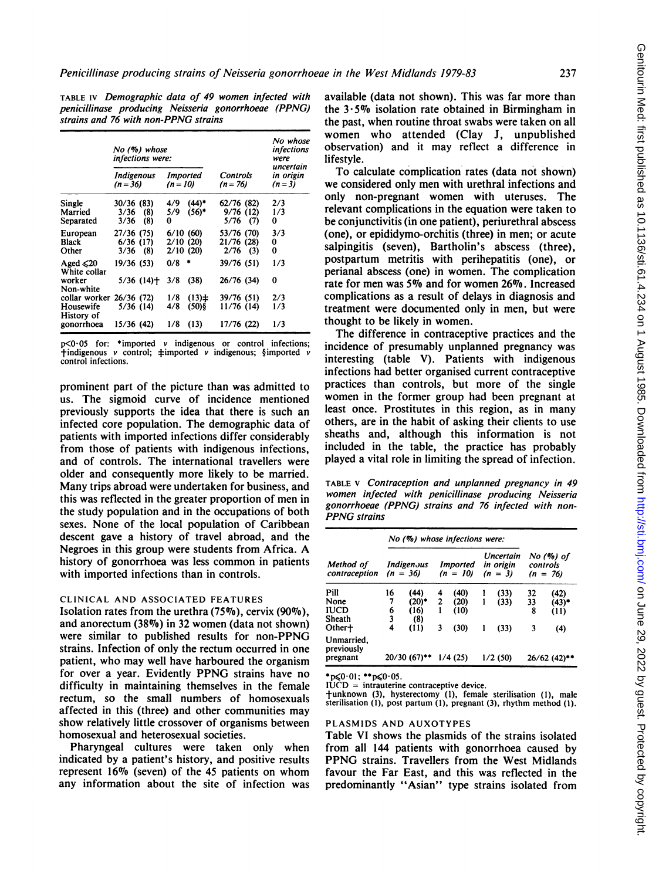TABLE IV Demographic data of 49 women infected with penicillinase producing Neisseria gonorrhoeae (PPNG) strains and 76 with non-PPNG strains

|                                                       |                                      | No (%) whose<br>infections were: |                                  |                        |                                        | No whose<br><i>infections</i><br>were |
|-------------------------------------------------------|--------------------------------------|----------------------------------|----------------------------------|------------------------|----------------------------------------|---------------------------------------|
|                                                       | Indigenous<br>$(n=36)$               |                                  | Imported<br>$(n = 10)$           |                        | <b>Controls</b><br>$(n = 76)$          | uncertain<br>in origin<br>$(n=3)$     |
| Single<br>Married<br>Separated                        | 30/36(83)<br>3/36<br>3/36            | (8)<br>(8)                       | 4/9<br>5/9<br>0                  | $(44)^*$<br>$(56)^*$   | 62/76 (82)<br>9/76(12)<br>$5/76$ (7)   | 2/3<br>1/3<br>0                       |
| European<br>Black<br>Other                            | 27/36 (75)<br>6/36(17)<br>$3/36$ (8) |                                  | 6/10(60)<br>2/10(20)<br>2/10(20) |                        | 53/76 (70)<br>21/76 (28)<br>$2/76$ (3) | 3/3<br>0<br>0                         |
| Aged $\leq 20$<br>White collar<br>worker<br>Non-white | 19/36(53)                            | $5/36$ (14) <sup>+</sup>         | 0/8<br>3/8                       | ۰<br>(38)              | 39/76 (51)<br>26/76 (34)               | 1/3<br>0                              |
| collar worker<br>Housewife<br>History of              | 26/36(72)<br>5/36(14)                |                                  | 1/8<br>4/8                       | $(13) \pm$<br>$(50)$ § | 39/76 (51)<br>11/76 (14)               | 2/3<br>1/3                            |
| gonorrhoea                                            | 15/36 (42)                           |                                  | 1/8                              | (13)                   | 17/76 (22)                             | 1/3                                   |

 $p \le 0.05$  for: \*imported v indigenous or control infections;  $\dagger$ indigenous v control;  $\dagger$ imported v indigenous; §imported v control infections.

prominent part of the picture than was admitted to us. The sigmoid curve of incidence mentioned previously supports the idea that there is such an infected core population. The demographic data of patients with imported infections differ considerably from those of patients with indigenous infections, and of controls. The international travellers were older and consequently more likely to be married. Many trips abroad were undertaken for business, and this was reflected in the greater proportion of men in the study population and in the occupations of both sexes. None of the local population of Caribbean descent gave a history of travel abroad, and the Negroes in this group were students from Africa. A history of gonorrhoea was less common in patients with imported infections than in controls.

## CLINICAL AND ASSOCIATED FEATURES

Isolation rates from the urethra  $(75\%)$ , cervix  $(90\%)$ , and anorectum (38%) in 32 women (data not shown) were similar to published results for non-PPNG strains. Infection of only the rectum occurred in one patient, who may well have harboured the organism for over <sup>a</sup> year. Evidently PPNG strains have no difficulty in maintaining themnselves in the female rectum, so the small numbers of homosexuals affected in this (three) and other communities may show relatively little crossover of organisms between homosexual and heterosexual societies.

Pharyngeal cultures were taken only when indicated by a patient's history, and positive results represent  $16\%$  (seven) of the 45 patients on whom any information about the site of infection was available (data not shown). This was far more than the  $3.5\%$  isolation rate obtained in Birmingham in the past, when routine throat swabs were taken on all women who attended (Clay J, unpublished observation) and it may reflect a difference in lifestyle.

To calculate complication rates (data not shown) we considered only men with urethral infections and only non-pregnant women with uteruses. The relevant complications in the equation were taken to be conjunctivitis (in one patient), periurethral abscess (one), or epididymo-orchitis (three) in men; or acute salpingitis (seven), Bartholin's abscess (three), postpartum metritis with perihepatitis (one), or perianal abscess (one) in women. The complication rate for men was 5% and for women 26%. Increased complications as a result of delays in diagnosis and treatment were documented only in men, but were thought to be likely in women.

The difference in contraceptive practices and the incidence of presumably unplanned pregnancy was interesting (table V). Patients with indigenous infections had better organised current contraceptive practices than controls, but more of the single women in the former group had been pregnant at least once. Prostitutes in this region, as in many others, are in the habit of asking their clients to use sheaths and, although this information is not included in the table, the practice has probably played a vital role in limiting the spread of infection.

TABLE V Contraception and unplanned pregnancy in 49 women infected with penicillinase producing Neisseria gonorrhoeae (PPNG) strains and 76 infected with non-PPNG strains

|                                      |    | No (%) whose infections were: |                |                        |   |                                     |    |                                     |
|--------------------------------------|----|-------------------------------|----------------|------------------------|---|-------------------------------------|----|-------------------------------------|
| Method of<br>contraception           |    | Indigenous<br>$(n = 36)$      |                | Imported<br>$(n = 10)$ |   | Uncertain<br>in origin<br>$(n = 3)$ |    | No (%) of<br>controls<br>$(n = 76)$ |
| Pill                                 | 16 | (44)                          | 4              | (40)                   |   | (33)                                | 32 | (42)                                |
| None                                 | 7  | (20)*                         | $\overline{c}$ | (20)                   |   | (33)                                | 33 | $(43)^*$                            |
| <b>IUCD</b>                          | 6  | (16)                          |                | (10)                   |   |                                     | 8  | (11)                                |
| Sheath                               | 3  | (8)                           |                |                        |   |                                     |    |                                     |
| Other+                               | 4  | (11)                          | 3              | (30)                   | ı | (33)                                | 3  | (4)                                 |
| Unmarried,<br>previously<br>pregnant |    | $20/30$ (67)**                |                | 1/4(25)                |   | 1/2(50)                             |    | $26/62$ (42)**                      |

\*p $\leq 0.01$ ; \*\*p $\leq 0.05$ .

 $I\dot{U}\dot{C}D$  = intrauterine contraceptive device.

tunknown (3), hysterectomy (1), female sterilisation (1), male sterilisation (1), post partum (1), pregnant (3), rhythm method (1).

#### PLASMIDS AND AUXOTYPES

Table VI shows the plasmids of the strains isolated from all 144 patients with gonorrhoea caused by PPNG strains. Travellers from the West Midlands favour the Far East, and this was reflected in the predominantly "Asian" type strains isolated from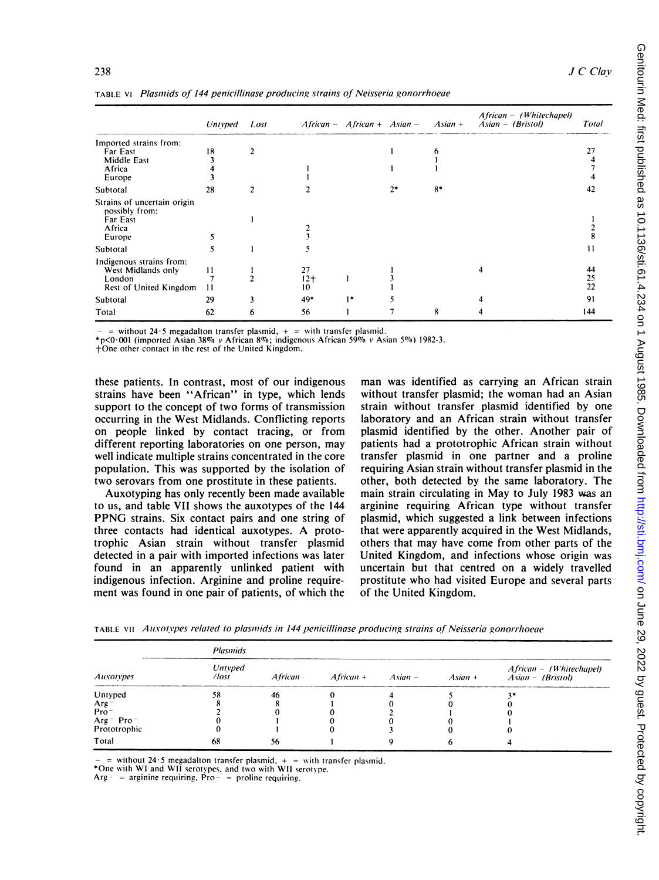|                                                                                    | Untyped   | Lost |                                | $A$ frican - $A$ frican + $A$ sian - |      | $A$ sian + | African - (Whitechapel)<br>$Asian - (British)$ | Total          |
|------------------------------------------------------------------------------------|-----------|------|--------------------------------|--------------------------------------|------|------------|------------------------------------------------|----------------|
| Imported strains from:                                                             |           |      |                                |                                      |      |            |                                                |                |
| Far East                                                                           | 18        |      |                                |                                      |      |            |                                                | 27             |
| <b>Middle East</b>                                                                 |           |      |                                |                                      |      |            |                                                |                |
| Africa                                                                             |           |      |                                |                                      |      |            |                                                |                |
| Europe                                                                             |           |      |                                |                                      |      |            |                                                |                |
| Subtotal                                                                           | 28        |      |                                |                                      | $2*$ | $8*$       |                                                | 42             |
| Strains of uncertain origin<br>possibly from:<br>Far East<br>Africa<br>Europe      |           |      |                                |                                      |      |            |                                                |                |
| Subtotal                                                                           |           |      |                                |                                      |      |            |                                                | 11             |
| Indigenous strains from:<br>West Midlands only<br>London<br>Rest of United Kingdom | 11<br>-11 |      | 27<br>$12+$<br>10 <sup>°</sup> |                                      |      |            | 4                                              | 44<br>25<br>22 |
| Subtotal                                                                           | 29        | 3    | 49*                            | $1*$                                 |      |            |                                                | 91             |
| Total                                                                              | 62        | 6    | 56                             |                                      |      | 8          |                                                | 144            |

TABLE Vt Plasinids of 144 penicillinase producing strains of Neisseria gonorrhoeae

without 24  $\cdot$  5 megadalton transfer plasmid,  $+$  = with transfer plasmid.

 $*p$ <0.001 (imported Asian 38% v African 8%; indigenous African 59% v Asian 5%) 1982-3.

+One other contact in the rest of the United Kingdom.

these patients. In contrast, most of our indigenous strains have been "African" in type, which lends support to the concept of two forms of transmission occurring in the West Midlands. Conflicting reports on people linked by contact tracing, or from different reporting laboratories on one person, may well indicate multiple strains concentrated in the core population. This was supported by the isolation of two serovars from one prostitute in these patients.

Auxotyping has only recently been made available to us, and table VII shows the auxotypes of the 144 PPNG strains. Six contact pairs and one string of three contacts had identical auxotypes. A prototrophic Asian strain without transfer plasmid detected in a pair with imported infections was later found in an apparently unlinked patient with indigenous infection. Arginine and proline requirement was found in one pair of patients, of which the

man was identified as carrying an African strain without transfer plasmid; the woman had an Asian strain without transfer plasmid identified by one laboratory and an African strain without transfer plasmid identified by the other. Another pair of patients had a prototrophic African strain without transfer plasmid in one partner and a proline requiring Asian strain without transfer plasmid in the other, both detected by the same laboratory. The main strain circulating in May to July 1983 was an arginine requiring African type without transfer plasmid, which suggested a link between infections that were apparently acquired in the West Midlands, others that may have come from other parts of the United Kingdom, and infections whose origin was uncertain but that centred on a widely travelled prostitute who had visited Europe and several parts of the United Kingdom.

| Auxotypes                                         | <b>Plasmids</b>          |    |  |  |  |                                                                                                    |  |  |  |
|---------------------------------------------------|--------------------------|----|--|--|--|----------------------------------------------------------------------------------------------------|--|--|--|
|                                                   | Untyped<br>$\sqrt{lost}$ |    |  |  |  | African - (Whitechapel)<br>$A$ frican - $A$ frican + $A$ sian - $A$ sian + $A$ sian - $(B$ ristol) |  |  |  |
| Untyped                                           | 58                       | 46 |  |  |  |                                                                                                    |  |  |  |
|                                                   |                          |    |  |  |  |                                                                                                    |  |  |  |
| Arg $^{-}$ Pro $^{-}$                             |                          |    |  |  |  |                                                                                                    |  |  |  |
|                                                   |                          |    |  |  |  |                                                                                                    |  |  |  |
| Arg <sup>-</sup> Pro <sup>-</sup><br>Prototrophic |                          |    |  |  |  |                                                                                                    |  |  |  |
| Total                                             | 68                       | 56 |  |  |  |                                                                                                    |  |  |  |

TABLE VII Auxotypes related to plasmids in 144 penicillinase producing strains of Neisseria gonorrhoeae

= without 24.5 megadalton transfer plasmid,  $+$  = with transfer plasmid.

\*One with WI and WII serotypes, and two with WII serotype.<br>Arg- = arginine requiring, Pro- = proline requiring.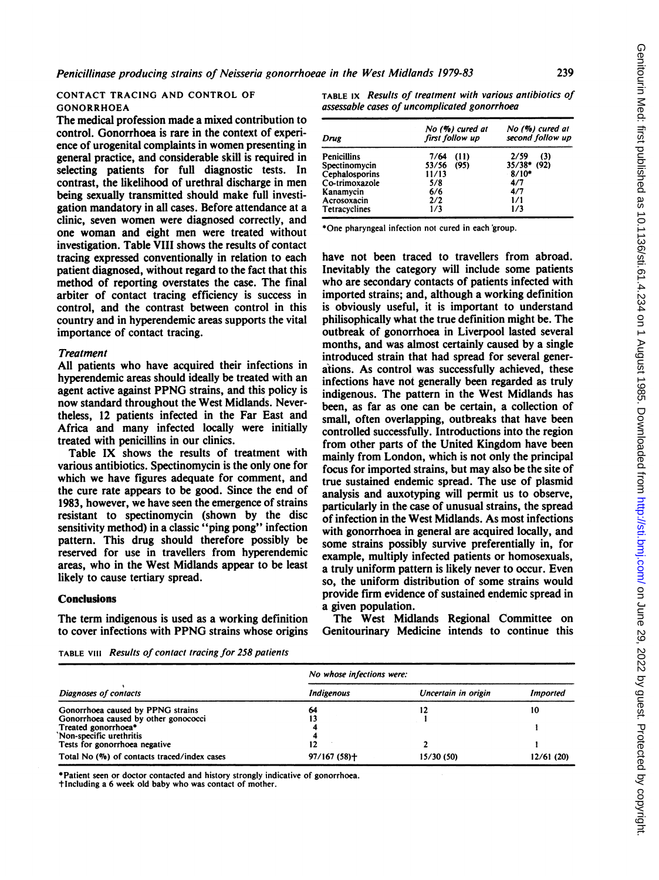## CONTACT TRACING AND CONTROL OF GONORRHOEA

The medical profession made a mixed contribution to control. Gonorrhoea is rare in the context of experience of urogenital complaints in women presenting in general practice, and considerable skill is required in selecting patients for full diagnostic tests. In contrast, the likelihood of urethral discharge in men being sexually transmitted should make full investigation mandatory in all cases. Before attendance at a clinic, seven women were diagnosed correctly, and one woman and eight men were treated without investigation. Table VIII shows the results of contact tracing expressed conventionally in relation to each patient diagnosed, without regard to the fact that this method of reporting overstates the case. The final arbiter of contact tracing efficiency is success in control, and the contrast between control in this country and in hyperendemic areas supports the vital importance of contact tracing.

#### **Treatment**

All patients who have acquired their infections in hyperendemic areas should ideally be treated with an agent active against PPNG strains, and this policy is now standard throughout the West Midlands. Nevertheless, 12 patients infected in the Far East and Africa and many infected locally were initially treated with penicillins in our clinics.

Table IX shows the results of treatment with various antibiotics. Spectinomycin is the only one for which we have figures adequate for comment, and the cure rate appears to be good. Since the end of 1983, however, we have seen the emergence of strains resistant to spectinomycin (shown by the disc sensitivity method) in a classic "ping pong" infection pattern. This drug should therefore possibly be reserved for use in travellers from hyperendemic areas, who in the West Midlands appear to be least likely to cause tertiary spread.

## Conclusions

The term indigenous is used as a working definition to cover infections with PPNG strains whose origins

TABLE IX Results of treatment with various antibiotics of assessable cases of uncomplicated gonorrhoea

| Drug               | No (%) cured at<br>first follow up | No (%) cured at<br>second follow up |  |  |
|--------------------|------------------------------------|-------------------------------------|--|--|
| <b>Penicillins</b> | 7/64<br>(11)                       | 2/59<br>(3)                         |  |  |
| Spectinomycin      | (95)<br>53/56                      | $35/38$ * (92)                      |  |  |
| Cephalosporins     | 11/13                              | $8/10*$                             |  |  |
| Co-trimoxazole     | 5/8                                | 4/7                                 |  |  |
| Kanamycin          | 6/6                                | 4/7                                 |  |  |
| Acrosoxacin        | 2/2                                | 1/1                                 |  |  |
| Tetracyclines      | 1/3                                | 1/3                                 |  |  |

\*One pharyngeal infection not cured in each'group.

have not been traced to travellers from abroad. Inevitably the category will include some patients who are secondary contacts of patients infected with imported strains; and, although a working definition is obviously useful, it is important to understand philisophically what the true definition might be. The outbreak of gonorrhoea in Liverpool lasted several months, and was almost certainly caused by a single introduced strain that had spread for several generations. As control was successfully achieved, these infections have not generally been regarded as truly indigenous. The pattern in the West Midlands has been, as far as one can be certain, a collection of small, often overlapping, outbreaks that have been controlled successfully. Introductions into the region from other parts of the United Kingdom have been mainly from London, which is not only the principal focus for imported strains, but may also be the site of true sustained endemic spread. The use of plasmid analysis and auxotyping will permit us to observe, particularly in the case of unusual strains, the spread of infection in the West Midlands. As most infections with gonorrhoea in general are acquired locally, and some strains possibly survive preferentially in, for example, multiply infected patients or homosexuals, a truly uniform pattern is likely never to occur. Even so, the uniform distribution of some strains would provide firm evidence of sustained endemic spread in a given population.

The West Midlands Regional Committee on Genitourinary Medicine intends to continue this

TABLE VIII Results of contact tracing for 258 patients

|                                             | No whose infections were: |                     |                 |  |  |  |  |
|---------------------------------------------|---------------------------|---------------------|-----------------|--|--|--|--|
| Diagnoses of contacts                       | <b>Indigenous</b>         | Uncertain in origin | <b>Imported</b> |  |  |  |  |
| Gonorrhoea caused by PPNG strains           | 64                        |                     | 10              |  |  |  |  |
| Gonorrhoea caused by other gonococci        |                           |                     |                 |  |  |  |  |
| Treated gonorrhoea*                         |                           |                     |                 |  |  |  |  |
| Non-specific urethritis                     |                           |                     |                 |  |  |  |  |
| Tests for gonorrhoea negative               |                           |                     |                 |  |  |  |  |
| Total No (%) of contacts traced/index cases | $97/167(58) +$            | 15/30(50)           | 12/61(20)       |  |  |  |  |

\*Patient seen or doctor contacted and history strongly indicative of gonorrhoea.

tlncluding a 6 week old baby who was contact of mother.